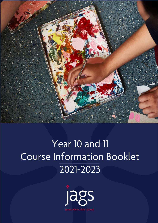

# Year 10 and 11 Course Information Booklet 2021-2023

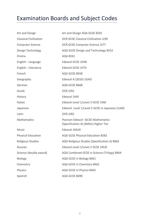## Examination Boards and Subject Codes

| Art and Design                | Art and Design AQA GCSE 8201                                                     |
|-------------------------------|----------------------------------------------------------------------------------|
| <b>Classical Civilisation</b> | <b>OCR GCSE Classical Civilisation J199</b>                                      |
| <b>Computer Science</b>       | OCR GCSE Computer Science J277                                                   |
| Design Technology             | AQA GCSE Design and Technology 8552                                              |
| Drama                         | AQA 8261                                                                         |
| English - Language            | <b>Edexcel GCSE 1EN0</b>                                                         |
| English - Literature          | <b>Edexcel GCSE 1ET0</b>                                                         |
| French                        | AQA GCSE 8658                                                                    |
| Geography                     | Edexcel A (2016) 1GAO                                                            |
| German                        | AQA GCSE 8668                                                                    |
| Greek                         | <b>OCR J292</b>                                                                  |
| History                       | Edexcel 1HI0                                                                     |
| Italian                       | Edexcel Level 1/Level 2 GCSE 1IN0                                                |
| Japanese                      | Edexcel Level 1/Level 2 GCSE in Japanese (1JA0)                                  |
| Latin                         | <b>OCR J282</b>                                                                  |
| <b>Mathematics</b>            | <b>Pearson Edexcel IGCSE Mathematics</b><br>(Specification A) (4MA1) Higher Tier |
| Music                         | Edexcel 1MU0                                                                     |
| <b>Physical Education</b>     | AQA GCSE Physical Education 8582                                                 |
| <b>Religious Studies</b>      | AQA Religious Studies (Specification A) 8062                                     |
| Russian                       | Edexcel Level 1/Level 2 GCSE 1RU0                                                |
| Science (double award)        | AQA Combined GCSE in Science (Trilogy) 8464                                      |
| <b>Biology</b>                | AQA GCSE in Biology 8461                                                         |
| Chemistry                     | AQA GCSE in Chemistry 8462                                                       |
| Physics                       | AQA GCSE in Physics 8463                                                         |
| Spanish                       | AQA GCSE 8698                                                                    |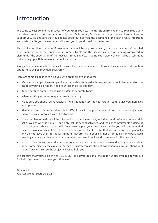## Introduction

Welcome to Year 10 and the first year of your GCSE courses. The transition from Year 9 to Year 10 is a very important one and your teachers, form tutors, Mr Jermond, Ms Canessa, the nurses and I are all here to support you. Making sure that you get into good routines from the beginning of the year is really important and useful habits you develop now will stand you in good stead for the future.

This booklet outlines the type of assessment you will be required to carry out in each subject. Controlled assessment has replaced coursework in some subjects and this usually involves work being completed in class under the supervision of the teacher. Some subjects have no coursework or controlled assessment but keeping up with homework is equally important.

Alongside your examination classes, lessons will include enrichment options and societies and information about these will be provided, separately.

Here are some guidelines to help you with organising your studies:

- Make sure that you have a copy of your timetable displayed at home, in your school planner and on the inside of your locker door. Keep your locker locked and tidy.
- Keep your files organised and use dividers to separate topics.
- When working at home, keep your work place tidy.
- Make sure you check Teams regularly we frequently use the Year Group Team to give you messages and updates.
- Plan your time. If you find that this is difficult, ask for help. You need time to relax and enjoy your extra-curricular interests, as well as to work.
- Use your planner, writing all the information that you need in it, including details of when homework is set as well as when it is due. Don't only include school activities, add regular commitments outside of school or events that you know will affect how you plan your time. Occasionally, you will have extended pieces of work which will be set over a number of weeks. It is vital that you work on these gradually and do not leave them to the last minute. Record this in your planner as on-going homework. Each evening, check your planner so that you have the correct books and homework for the next day.
- You can only revise the work you have covered in class if you have understood it. If you are unclear about something, please ask your teacher. It is better to ask straight away than to leave questions until later. You can also use the subject clinics to help you.

We are sure that you will enjoy Years 10 & 11. Take advantage of all the opportunities available to you, ask for help if you need it and use your time well.

#### **Mrs Jones** Assistant Head, Years 10 & 11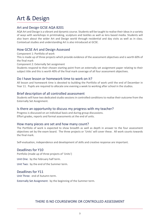## Art & Design

## Art and Design GCSE AQA 8201

AQA Art and Design is a vibrant and dynamic course. Students will be taught to realise their ideas in a variety of ways with workshops in printmaking, sculpture and textiles as well as lens based media. Students will also learn about the wider Art and Design world through residential and day visits as well as in class. Contextual studies and understanding Art is also introduced at GCSE.

## How GCSE Art and Design Assessed

Component 1: Portfolio of work

This is made up of three projects which provide evidence of the assessment objectives and is worth 60% of the final mark

Component 2: Externally Set assignment

Students respond to their chosen starting point from an externally set assignment paper relating to their subject title and this is worth 40% of the final mark coverage of all four assessment objectives.

## Do I have lesson or homework time to work on it?

All lesson and homework time is devoted to building the Portfolio of work until the end of December in Year 11. Pupils are required to allocate one evening a week to working after school in the studios.

## Brief description of all controlled assessment

Students will have two dedicated studio sessions in controlled conditions to realise their outcome from the Externally Set Assignment.

## Is there an opportunity to discuss my progress with my teacher?

Progress is discussed on an individual basis and during group discussions. Effort grades, reports and formal assessments at the end of units.

## How many pieces are set and how many count?

The Portfolio of work is expected to show breadth as well as depth in answer to the four assessment objectives set by the exam board. The three projects or 'Units' will cover these. All work counts towards the final mark.

Self-evaluation, independence and development of skills and creative response are important.

## Deadlines for Y10

Portfolio (made up of three projects of 'Units')

Unit One: by the February half term.

Unit Two: by the end of the Summer term.

## Deadlines for Y11

Unit Three: end of Autumn term.

Externally Set Assignment: by the beginning of the Summer term.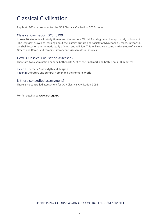## Classical Civilisation

Pupils at JAGS are prepared for the OCR Classical Civilisation GCSE course

## Classical Civilisation GCSE J199

In Year 10, students will study Homer and the Homeric World, focusing on an in-depth study of books of 'The Odyssey' as well as learning about the history, culture and society of Mycenaean Greece. In year 11, we shall focus on the thematic study of myth and religion. This will involve a comparative study of ancient Greece and Rome, and combine literary and visual material sources.

## How is Classical Civilisation assessed?

There are two examination papers, both worth 50% of the final mark and both 1 hour 30 minutes:

Paper 1: Thematic Study Myth and Religion Paper 2: Literature and culture: Homer and the Homeric World

## Is there controlled assessment?

There is no controlled assessment for OCR Classical Civilisation GCSE.

For full details see www.ocr.org.uk.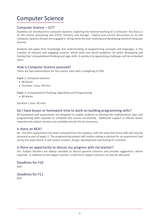## Computer Science

## Computer Science – J277

Students are introduced to Computer Systems, exploring the internal working of a Computer. Key focus is on the central processing unit (CPU), memory and storage. Topical and current discussions on AI and Computer Systems threats are engaged in. Bring home the ever evolving and developing world of computer Science.

Students will apply their knowledge and understanding of programming concepts and languages, in the creation of relevant and engaging systems, which solve real world problems, all whilst developing and honing their computational thinking and logic skills. A variety of programming challenges will be embarked upon.

## How is Computer Science assessed?

There are two examinations for this course, each with a weighting of 50%.

Paper 1: Computer Systems

- 80 Marks
- Duration 1 hour 30 mins

Paper 2: Computational Thinking, Algorithms and Programming

• 80 Marks

Duration 1 hour 30 mins

#### Do I have lesson or homework time to work on building programming skills?

All homework and assessments are designed to enable students to develop the mathematical, logic and programming skills required to complete this course successfully. Additional support is offered where required and subject mentors are available should this be necessary.

## Is there an NEA?

No. The NEA requirement has been removed from this syllabus, with the view that those skills will now be assessed as part of paper 2. The programming project will involve coding a solution for an assessment task set by the exam board. It will involve analysis, design, development and testing of a solution.

## Is there an opportunity to discuss my progress with my teacher?

Yes. Subject teachers are always available to discuss general concerns and provide suggestions, where required. In addition to the subject teacher, a sixth form subject mentors can also be allocated.

Deadlines for Y10 N/A

Deadlines for Y11 N/A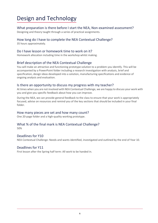## Design and Technology

## What preparation is there before I start the NEA, Non-examined assessment?

Designing and theory taught through a series of practical assignments.

## How long do I have to complete the NEA Contextual Challenge?

35 hours approximately.

## Do I have lesson or homework time to work on it?

Homework allocation including time in the workshop whilst making.

## Brief description of the NEA Contextual Challenge

You will make an attractive and functioning prototype solution to a problem you identify. This will be accompanied by a PowerPoint folder including a research investigation with analysis, brief and specification, design ideas developed into a solution, manufacturing specifications and evidence of ongoing analysis and evaluation.

## Is there an opportunity to discuss my progress with my teacher?

At times when you are not involved with NEA Contextual Challenge, we are happy to discuss your work with you and give you specific feedback about how you can improve.

During the NEA, we can provide general feedback to the class to ensure that your work is appropriately focused, advise on resources and remind you of the key sections that should be included in your final folder.

## How many pieces are set and how many count?

One 20-page folder and a high-quality working prototype.

## What % of the final mark is NEA Contextual Challenge?

50%

## Deadlines for Y10

NEA Contextual Challenge: Needs and wants identified, investigated and outlined by the end of Year 10.

## Deadlines for Y11

First lesson after the Spring half term: All work to be handed in.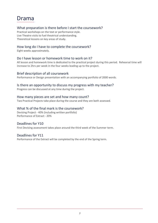## Drama

## What preparation is there before I start the coursework?

Practical workshops on the text or performance style. Live Theatre visits to fuel theatrical understanding. Theoretical lessons on key areas of study.

## How long do I have to complete the coursework?

Eight weeks approximately.

## Do I have lesson or homework time to work on it?

All lesson and homework time is dedicated to the practical project during this period. Rehearsal time will increase to 2hrs per week in the four weeks leading up to the project.

## Brief description of all coursework

Performance or Design presentation with an accompanying portfolio of 2000 words.

## Is there an opportunity to discuss my progress with my teacher?

Progress can be discussed at any time during the project.

## How many pieces are set and how many count?

Two Practical Projects take place during the course and they are both assessed.

## What % of the final mark is the coursework?

Devising Project - 40% (including written portfolio) Performance of Extract - 20%

## Deadlines for Y10

First Devising assessment takes place around the third week of the Summer term.

## Deadlines for Y11

Performance of the Extract will be completed by the end of the Spring term.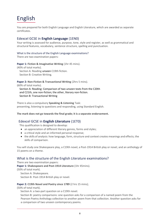## English

You are prepared for both English Language and English Literature, which are awarded as separate certificates.

## Edexcel GCSE in **English Language** (1EN0)

Your writing is assessed for audience, purpose, tone, style and register, as well as grammatical and structural features, vocabulary, sentence structure, spelling and punctuation.

#### What is the structure of the English Language examinations?

There are two examination papers:

#### **Paper 1: Fiction & Imaginative Writing** (1hr 45 mins).

(40% of total marks). Section A: Reading unseen C19th fiction. Section B: Creative Writing.

**Paper 2: Non-Fiction & Transactional Writing** (2hrs 5 mins). (60% of total marks). Section A: Reading: Comparison of two unseen texts from the C20th and C21th, one non-fiction; the other, literary non-fiction.

Section B: Transactional Writing

There is also a compulsory **Speaking & Listening** Task: presenting, listening to questions and responding, using Standard English.

#### **The mark does not go towards the final grade; it is a separate endorsement.**

## Edexcel GCSE in **English Literature** (1ET0)

This qualification is designed to develop:

- an appreciation of different literary genres, forms and styles;
- a critical style and an informed personal response;
- the skills of analysis: how language, form, structure and context creates meanings and effects; the skills of comparison.

You will study one Shakespeare play, a C19th novel, a Post-1914 British play or novel, and an anthology of 15 poems on a theme.

#### What is the structure of the English Literature examinations?

There are two examination papers:

**Paper 1: Shakespeare and Post-1914 Literature** (1hr 45mins).

(50% of total mark).

Section A: Shakespeare. Section B: Post-1914 British play or novel.

#### **Paper 2: C19th Novel and Poetry since 1789** (2 hrs 15 mins);

(50% of total mark).

Section A: a two-part question on a C19th novel.

Section B: poetry comparisons: one question asks for a comparison of a named poem from the Pearson Poetry Anthology collection to another poem from that collection. Another question asks for a comparison of two unseen contemporary poems.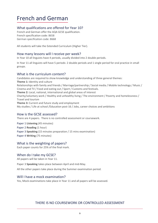## French and German

## What qualifications are offered for Year 10?

French and German offer the AQA GCSE qualification. French specification code: 8658 German specification code: 8668

All students will take the Extended Curriculum (Higher Tier).

## How many lessons will I receive per week?

In Year 10 all linguists have 4 periods, usually divided into 2 double periods.

In Year 11 all linguists will have 5 periods: 2 double periods and 1 single period for oral practice in small groups.

#### What is the curriculum content?

Candidates are required to show knowledge and understanding of three general themes: **Theme 1:** Identity and culture Relationships with family and friends / Marriage/partnership / Social media / Mobile technology / Music / Cinema and TV / Food and eating out / Sport / Customs and festivals. **Theme 2:** Local, national, international and global areas of interest Charity/voluntary work / Healthy and unhealthy living / The environment / Poverty and homelessness / Travel and tourism **Theme 3:** Current and future study and employment My studies / Life at school /Education post-16 / Jobs, career choices and ambitions

## How is the GCSE assessed?

There are 4 papers. There is no controlled assessment or coursework.

Paper 1 **Listening** (45 minutes) Paper 2 **Reading** (1 hour) Paper 3 **Speaking** (15 minutes preparation / 15 mins examination) Paper 4 **Writing** (75 minutes)

## What is the weighting of papers?

Each paper counts for 25% of the final mark.

## When do I take my GCSE?

All papers will be taken in Year 11.

Paper 3 **Speaking** takes place between April and mid-May.

All the other papers take place during the Summer examination period.

## Will I have a mock examination?

Yes, Mock examinations take place in Year 11 and all papers will be assessed.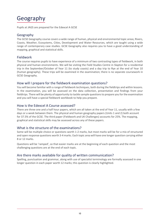## Geography

Pupils at JAGS are prepared for the Edexcel A GCSE

#### Geography

The GCSE Geography course covers a wide range of human, physical and environmental topic areas; Rivers, Coasts, Weather, Ecosystems, Cities, Development and Water Resources, which are taught using a wide range of contemporary case studies. GCSE Geography also requires you to have a good understanding of mapping, graphical and statistical skills.

## Fieldwork

The course requires pupils to have experience of a minimum of two contrasting types of fieldwork, in both physical and human environments. We will be visiting the Field Studies Centre in Slapton for a residential trip in the September/October of Year 11 (to study coasts) and a day trip to Rye at the end of Year 10 (human geography). These trips will be examined in the examination; there is no separate coursework in GCSE Geography.

#### How will I prepare for the fieldwork examination questions?

You will become familiar with a range of fieldwork techniques, both during the fieldtrips and within lessons. In the examination, you will be assessed on the data collection, presentation and findings from your fieldtrips. There will be plenty of opportunity to tackle sample questions to prepare you for the examination and you will have a special fieldwork workbook to help you prepare.

#### How is the Edexcel A Course assessed?

There are three one and a half hour papers, which are all taken at the end of Year 11, usually with a few days or a week between them. The physical and human geography papers (Units 1 and 2) both account for 37.5% of the GCSE. The third paper (Fieldwork and UK Challenges) accounts for 25%. The mapping, graphical and statistical skills may be assessed across any of these papers.

## What is the structure of the examinations?

Some will be multiple choice or questions worth 1-2 marks, but most marks will be for a mix of structured and open response questions worth 3-4 marks. Each topic area will have one longer question carrying either 8 or 12 marks.

Questions will be 'ramped', so that easier marks are at the beginning of each question and the most challenging questions are at the end of each topic.

## Are there marks available for quality of written communication?

Spelling, punctuation and grammar, along with use of specialist terminology are formally assessed in one longer question in each paper worth 12 marks; this question is clearly highlighted.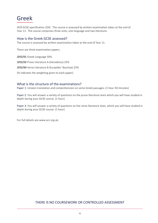## Greek

OCR GCSE specification J292. The course is assessed by written examination taken at the end of Year 11. The course comprises three units, one language and two literature.

#### How is the Greek GCSE assessed?

The course is assessed by written examination taken at the end of Year 11.

There are three examination papers.

**J292/01** Greek Language 50%

**J292/02** Prose Literature A (Herodotus) 25%

**J292/04** Verse Literature B (Euripides' Bacchae) 25%

(% indicates the weighting given to each paper).

#### What is the structure of the examinations?

Paper 1: Unseen translation and comprehension on some Greek passages. (1 hour 30 minutes)

Paper 2: You will answer a variety of questions on the prose literature texts which you will have studied in depth during your GCSE course. (1 hour)

Paper 3: You will answer a variety of questions on the verse literature texts, which you will have studied in depth during your GCSE course. (1 hour)

For full details se[e www.ocr.org.uk.](http://www.ocr.org.uk/)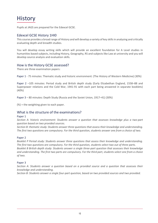## **History**

Pupils at JAGS are prepared for the Edexcel GCSE.

## Edexcel GCSE History 1HI0

This course provides a broad range of History and will develop a variety of key skills in analysing and critically evaluating depth and breadth studies.

You will develop essay writing skills which will provide an excellent foundation for A Level studies in humanities based subjects, including History, Geography, RS and subjects like Law at university and you will develop source analysis and evaluation skills.

#### How is the History GCSE assessed?

There are three examination papers:

Paper 1 - 75 minutes: Thematic study and historic environment: (The History of Western Medicine) (30%)

Paper 2 –105 minutes: Period study and British depth study (Early Elizabethan England, 1558–88 and Superpower relations and the Cold War, 1941-91 with each part being answered in separate booklets) (40%)

Paper 3 – 80 minutes: Depth Study (Russia and the Soviet Union, 1917–41) (30%)

(%) = the weighting given to each paper.

#### What is the structure of the examinations?

#### Paper 1

*Section A: historic environment: Students answer a question that assesses knowledge plus a two-part question based on two provided sources.* 

*Section B: thematic study: Students answer three questions that assess their knowledge and understanding. The first two questions are compulsory. For the third question, students answer one from a choice of two.*

#### Paper 2

*Booklet P Period study: Students answer three questions that assess their knowledge and understanding. The first two questions are compulsory. For the third question, students select two out of three parts. Booklet B British depth study: Students answer a single three-part question that assesses their knowledge and understanding. The first two parts are compulsory. For the third part, students select one from a choice of two.*

#### Paper 3

*Section A: Students answer a question based on a provided source and a question that assesses their knowledge and understanding.* 

*Section B: Students answer a single four-part question, based on two provided sources and two provided.*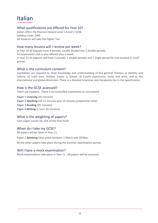## Italian

## What qualifications are offered for Year 10?

Italian offers the Pearson Edexcel Level 1/Level 2 GCSE. Syllabus Code: 1IN0 All students will take the Higher Tier.

## How many lessons will I receive per week?

In Year 10 all linguists have 4 periods, usually divided into 2 double periods. A Conversation club is also offered once a week. In Year 11 all linguists will have 5 periods: 2 double periods and 1 single period for oral practice in small groups.

## What is the curriculum content?

Candidates are required to show knowledge and understanding of five general Themes: a) Identity and culture, b) Local area, holiday, travel, c) School, d) Future aspirations, study and work, and e) the international and global dimension. There is a detailed Grammar and Vocabulary list in the Specification.

## How is the GCSE assessed?

There are 4 papers. There is no controlled assessment or coursework.

Paper 1 **Listening** (45 minutes) Paper 2 **Speaking** (10-12 minutes plus 12 minutes preparation time) Paper 3 **Reading** (45 minutes) Paper 4 **Writing** (1 hour 20 minutes)

## What is the weighting of papers?

Each paper counts for 25% of the final mark.

## When do I take my GCSE?

All papers will be taken in Year 11.

Paper 2 **Speaking** takes place between 1 March and 18 May.

All the other papers take place during the Summer examination period.

## Will I have a mock examination?

Mock examinations take place in Year 11. All papers will be assessed.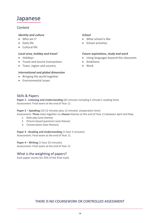## Japanese

## Content

## *Identity and culture*

- Who am I?
- Daily life
- Cultural life

## *Local area, holiday and travel*

- Holidays
- Travel and tourist transactions
- Town, region and country

## *International and global dimension*

- Bringing the world together
- Environmental issues

## *School*

- What school is like
- School activities

#### *Future aspirations, study and work*

- Using languages beyond the classroom
- Ambitions
- Work

## Skills & Papers

**Paper 1 - Listening and Understanding** (45 minutes including 5 minute's reading time) Assessment: Final exam at the end of Year 11

**Paper 2 – Speaking** (10-12 minutes plus 12 minutes' preparation time) Assessment: **Three** tasks together on **chosen** themes at the end of Year 11 between April and May.

- 1. Role-play (one theme)
- 2. Picture based questions (one theme)
- 3. Conversation (two themes)

**Paper 3 - Reading and Understanding** (1 hour 5 minutes)

Assessment: Final exam at the end of Year 11

**Paper 4 – Writing** (1 hour 25 minutes) Assessment: Final exam at the end of Year 11

## What is the weighting of papers?

Each paper counts for 25% of the final mark.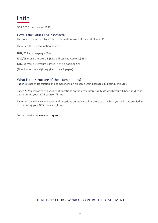## Latin

OCR GCSE specification J282.

## How is the Latin GCSE assessed?

The course is assessed by written examination taken at the end of Year 11.

There are three examination papers:

**J282/01** Latin Language 50%

**J282/03** Prose Literature B (Sagae Thessalae Apuleius) 25%

**J282/05** Verse Literature B (Virgil Aeneid book 2) 25%

(% indicates the weighting given to each paper).

#### What is the structure of the examinations?

Paper 1: Unseen translation and comprehension on some Latin passages. (1 hour 30 minutes)

Paper 2: You will answer a variety of questions on the prose literature texts which you will have studied in depth during your GCSE course. (1 hour)

Paper 3: You will answer a variety of questions on the verse literature texts, which you will have studied in depth during your GCSE course. (1 hour)

For full details see www.ocr.org.uk.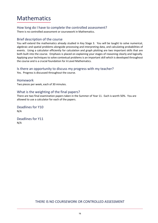## Mathematics

How long do I have to complete the controlled assessment?

There is no controlled assessment or coursework in Mathematics.

## Brief description of the course

You will extend the mathematics already studied in Key Stage 3. You will be taught to solve numerical, algebraic and spatial problems alongside processing and interpreting data, and calculating probabilities of events. Using a calculator efficiently for calculation and graph plotting are two important skills that are both built into the course. Emphasis is placed on explaining your stages of reasoning clearly and logically. Applying your techniques to solve contextual problems is an important skill which is developed throughout the course and is a crucial foundation for A Level Mathematics.

## Is there an opportunity to discuss my progress with my teacher?

Yes. Progress is discussed throughout the course.

Homework

Two pieces per week, each of 30 minutes.

## What is the weighting of the final papers?

There are two final examination papers taken in the Summer of Year 11. Each is worth 50%. You are allowed to use a calculator for each of the papers.

Deadlines for Y10 N/A

Deadlines for Y11 N/A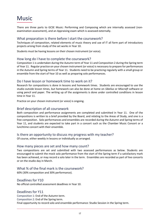## **Music**

There are three parts to GCSE Music: Performing and Composing which are internally assessed (nonexamination assessment), and an Appraising exam which is assessed externally.

## What preparation is there before I start the coursework?

Techniques of composition, related elements of music theory and use of IT all form part of introductory projects arising from study of the set works in Year 10.

Students must be having lessons on their chosen instrument (or voice).

#### How long do I have to complete the coursework?

Composition 1 is undertaken during the Autumn term of Year 11 and Composition 2 during the Spring term of Year 11. Regular practice on your chosen instrument (or voice) is necessary to prepare for performances in the Autumn and Spring terms of Year 11. Students need to be practicing regularly with a small group or ensemble from the start of Year 10 as well as preparing solo performances.

## Do I have lesson or homework time to work on it?

Research for compositions is done in lessons and homework times. Students are encouraged to use the studio outside lesson times, but homework can also be done at home on *Sibelius* or *Mixcraft* software or using pencil and paper. The writing up of the assignments is done under controlled conditions in lesson time in Year 11.

Practice on your chosen instrument (or voice) is ongoing.

## Brief description of all coursework

Both composition and performance assignments are completed and submitted in Year 11. One of the compositions is written to a brief provided by the Board, and relating to the Areas of Study, and one is a free composition. Solo performances and ensembles are recorded during the Autumn and Spring terms of Year 11, and students are expected to take part in a concert such as the Chamber Music Concert or a lunchtime concert with their ensemble.

#### Is there an opportunity to discuss my progress with my teacher?

Of course, either weekly in lessons or individually as arranged.

#### How many pieces are set and how many count?

Two compositions are set and submitted with two assessed performances as below. Students are encouraged to submit the mock solo performance from the start of the Spring term if a satisfactory mark has been achieved, or may record a solo later in the term. Ensembles are recorded as part of live concerts or on the studio day in March.

## What % of the final mark is the coursework?

60% (30% composition and 30% performance).

#### Deadlines for Y10

No official controlled assessment deadlines in Year 10.

## Deadlines for Y11

Composition 1: End of the Autumn term. Composition 2: End of the Spring term. Final opportunity to record solo and ensemble performance: Studio Session in the Spring term.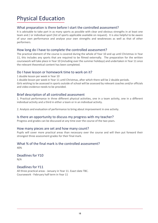## Physical Education

## What preparation is there before I start the controlled assessment?

It is advisable to take part in as many sports as possible with clear and obvious strengths in at least one team and / or individual sport (list of sports applicable available on request). It is also helpful to be aware of your own performance and analyse your own strengths and weaknesses as well as that of other performers.

## How long do I have to complete the controlled assessment?

The practical element of the course is covered during the whole of Year 10 and up until Christmas in Year 11, this includes any sports that are required to be filmed externally. The preparation for the written coursework will take place in Year 10 (including over the summer holidays) and undertaken in Year 11 once the relevant theoretical content has been completed.

#### Do I have lesson or homework time to work on it?

1 double lesson per week in Year 10

1 double lesson per week in Year 11 until Christmas, after which there will be 2 double periods.

Girls wishing to be assessed in sports outside of school will be assessed by relevant coaches and/or officials and video evidence needs to be provided.

## Brief description of all controlled assessment

1. Practical performance in three different physical activities, one in a team activity, one in a different individual activity and a third in either a team or in an individual activity.

2. Analysis and evaluation of performance to bring about improvement in one activity.

## Is there an opportunity to discuss my progress with my teacher?

Progress and grades can be discussed at any time over the course of the two years.

## How many pieces are set and how many count?

Pupils will cover more practical areas than necessary over the course and will then put forward their strongest three assessment grades for their final mark.

## What % of the final mark is the controlled assessment?

40%

Deadlines for Y10 N/A

## Deadlines for Y11

All three practical areas - January in Year 11. Exact date TBC. Coursework - February half term in Year 11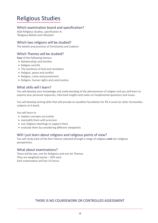## Religious Studies

## Which examination board and specification?

AQA Religious Studies, specification A: 'Religious Beliefs and Lifestyles'

## Which two religions will be studied?

The beliefs and practices of Christianity and Judaism

## Which Themes will be studied?

**Four** of the following themes:

- Relationships and families
- Religion and life
- The existence of God and revelation
- Religion, peace and conflict
- Religion, crime and punishment
- Religion, human rights and social justice.

## What skills will I learn?

You will develop your knowledge and understanding of the phenomenon of religion and you will learn to express your personal responses, informed insights and views on fundamental questions and issues.

You will develop writing skills that will provide an excellent foundation for RS A Level (or other Humanities subjects at A level).

You will learn to

- explain concepts accurately
- exemplify them with precision
- use religious teachings to support them
- evaluate them by considering different viewpoints

## Will I just learn about religions and religious points of view?

You will study each of the four themes selected through a range of religious *and* non-religious perspectives.

## What about examinations?

There will be two, one for Religions and one for Themes. They are weighted evenly – 50% each. Each examination will last 1¾ hours.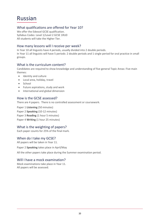## Russian

## What qualifications are offered for Year 10?

We offer the Edexcel GCSE qualification. Syllabus Codes: Level 1/Level 2 GCSE 1RU0 All students will take the Higher Tier.

## How many lessons will I receive per week?

In Year 10 all linguists have 4 periods, usually divided into 2 double periods. In Year 11 all linguists will have 5 periods: 2 double periods and 1 single period for oral practice in small

## What is the curriculum content?

Candidates are required to show knowledge and understanding of five general Topic Areas: Five main themes:

- Identity and culture
- Local area, holiday, travel
- School

groups.

- Future aspirations, study and work
- International and global dimension

## How is the GCSE assessed?

There are 4 papers. There is no controlled assessment or coursework.

Paper 1 **Listening** (50 minutes) Paper 2 **Speaking** (10-12 minutes) Paper 3 **Reading** (1 hour 5 minutes) Paper 4 **Writing** (1 hour 25 minutes)

## What is the weighting of papers?

Each paper counts for 25% of the final mark.

## When do I take my GCSE?

All papers will be taken in Year 11.

Paper 2 **Speaking** takes place in April/May

All the other papers take place during the Summer examination period.

## Will I have a mock examination?

Mock examinations take place in Year 11. All papers will be assessed.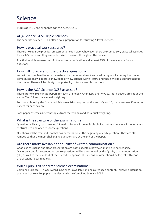## Science

Pupils at JAGS are prepared for the AQA GCSE.

## AQA Science GCSE Triple Sciences

The separate Science GCSEs offer a solid preparation for studying A level sciences.

#### How is practical work assessed?

There is no separate practical assessment or coursework, however, there are compulsory practical activities for each Science and they are undertaken in lessons throughout the course.

Practical work is assessed within the written examination and at least 15% of the marks are for such questions.

## How will I prepare for the practical questions?

You will become familiar with the nature of experimental work and evaluating results during the course. Some questions will require knowledge of 'how science works' terms and those will be used throughout the course. There will be plenty of opportunity to tackle sample questions.

## How is the AQA Science GCSE assessed?

There are two 105 minute papers for each of Biology, Chemistry and Physics. Both papers are sat at the end of Year 11 and have equal weighting.

For those choosing the Combined Science – Trilogy option at the end of year 10, there are two 75 minute papers for each science.

Each paper assesses different topics from the syllabus and has equal weighting.

## What is the structure of the examinations?

Questions will carry up to around 15 marks. Some will be multiple choice, but most marks will be for a mix of structured and open response questions.

Questions will be 'ramped', so that easier marks are at the beginning of each question. They are also ramped so that the most challenging questions are at the end of the paper.

## Are there marks available for quality of written communication?

Good use of English and clear presentation are both expected, however, marks are not set aside. Marks awarded for extended response questions will be determined by the Quality of Communication (QC) as well as the standard of the scientific response. This means answers should be logical with good use of scientific terminology.

## Will all pupils sit separate science examinations?

Combined Science – Trilogy Award in Science is available and has a reduced content. Following discussion at the end of Year 10, pupils may elect to sit the Combined Science GCSE.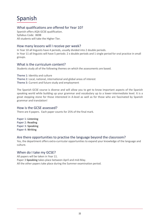## Spanish

## What qualifications are offered for Year 10?

Spanish offers AQA GCSE qualification. Syllabus Code: 8698 All students will take the Higher Tier.

## How many lessons will I receive per week?

In Year 10 all linguists have 4 periods, usually divided into 2 double periods. In Year 11 all linguists will have 5 periods: 2 x double periods and 1 single period for oral practice in small groups.

## What is the curriculum content?

Students study all of the following themes on which the assessments are based.

Theme 1: Identity and culture Theme 2: Local, national, international and global areas of interest Theme 3: Current and future study and employment

The Spanish GCSE course is diverse and will allow you to get to know important aspects of the Spanish speaking world while building up your grammar and vocabulary up to a lower-intermediate level. It is a great stepping stone for those interested in A-level as well as for those who are fascinated by Spanish grammar and translation!

#### How is the GCSE assessed?

There are 4 papers. Each paper counts for 25% of the final mark.

Paper 1: **Listening** Paper 2: **Reading**  Paper 3: **Speaking** Paper 4: **Writing**

## Are there opportunities to practise the language beyond the classroom?

Yes, the department offers extra-curricular opportunities to expand your knowledge of the language and culture.

## When do I take my GCSE?

All papers will be taken in Year 11. Paper 3 **Speaking** takes place between April and mid-May. All the other papers take place during the Summer examination period.